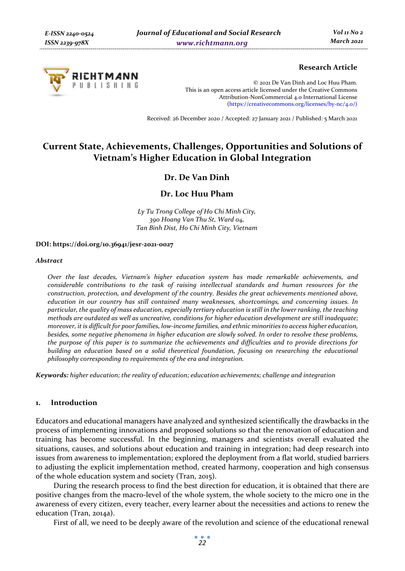

## **Research Article**

© 2021 De Van Dinh and Loc Huu Pham. This is an open access article licensed under the Creative Commons Attribution-NonCommercial 4.0 International License (https://creativecommons.org/licenses/by-nc/4.0/)

Received: 26 December 2020 / Accepted: 27 January 2021 / Published: 5 March 2021

# **Current State, Achievements, Challenges, Opportunities and Solutions of Vietnam's Higher Education in Global Integration**

## **Dr. De Van Dinh**

## **Dr. Loc Huu Pham**

*Ly Tu Trong College of Ho Chi Minh City, 390 Hoang Van Thu St, Ward 04, Tan Binh Dist, Ho Chi Minh City, Vietnam* 

#### **DOI: https://doi.org/10.36941/jesr-2021-0027**

#### *Abstract*

*Over the last decades, Vietnam's higher education system has made remarkable achievements, and considerable contributions to the task of raising intellectual standards and human resources for the construction, protection, and development of the country. Besides the great achievements mentioned above, education in our country has still contained many weaknesses, shortcomings, and concerning issues. In particular, the quality of mass education, especially tertiary education is still in the lower ranking, the teaching methods are outdated as well as uncreative, conditions for higher education development are still inadequate; moreover, it is difficult for poor families, low-income families, and ethnic minorities to access higher education, besides, some negative phenomena in higher education are slowly solved. In order to resolve these problems, the purpose of this paper is to summarize the achievements and difficulties and to provide directions for building an education based on a solid theoretical foundation, focusing on researching the educational philosophy corresponding to requirements of the era and integration.* 

*Keywords: higher education; the reality of education; education achievements; challenge and integration* 

#### **1. Introduction**

Educators and educational managers have analyzed and synthesized scientifically the drawbacks in the process of implementing innovations and proposed solutions so that the renovation of education and training has become successful. In the beginning, managers and scientists overall evaluated the situations, causes, and solutions about education and training in integration; had deep research into issues from awareness to implementation; explored the deployment from a flat world, studied barriers to adjusting the explicit implementation method, created harmony, cooperation and high consensus of the whole education system and society (Tran, 2015).

During the research process to find the best direction for education, it is obtained that there are positive changes from the macro-level of the whole system, the whole society to the micro one in the awareness of every citizen, every teacher, every learner about the necessities and actions to renew the education (Tran, 2014a).

First of all, we need to be deeply aware of the revolution and science of the educational renewal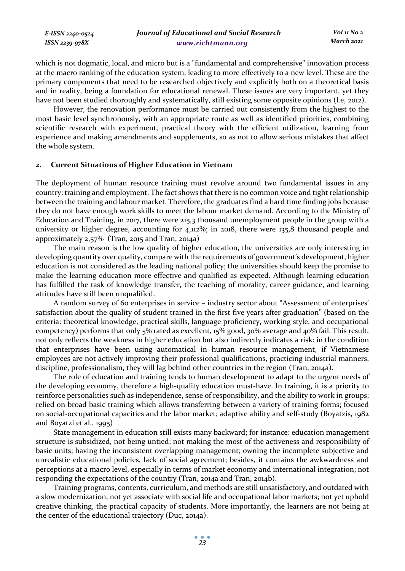which is not dogmatic, local, and micro but is a "fundamental and comprehensive" innovation process at the macro ranking of the education system, leading to more effectively to a new level. These are the primary components that need to be researched objectively and explicitly both on a theoretical basis and in reality, being a foundation for educational renewal. These issues are very important, yet they have not been studied thoroughly and systematically, still existing some opposite opinions (Le, 2012).

However, the renovation performance must be carried out consistently from the highest to the most basic level synchronously, with an appropriate route as well as identified priorities, combining scientific research with experiment, practical theory with the efficient utilization, learning from experience and making amendments and supplements, so as not to allow serious mistakes that affect the whole system.

## **2. Current Situations of Higher Education in Vietnam**

*E-ISSN 2240-0524 ISSN 2239-978X*

The deployment of human resource training must revolve around two fundamental issues in any country: training and employment. The fact shows that there is no common voice and tight relationship between the training and labour market. Therefore, the graduates find a hard time finding jobs because they do not have enough work skills to meet the labour market demand. According to the Ministry of Education and Training, in 2017, there were 215,3 thousand unemployment people in the group with a university or higher degree, accounting for 4,112%; in 2018, there were 135,8 thousand people and approximately 2,57% (Tran, 2015 and Tran, 2014a)

The main reason is the low quality of higher education, the universities are only interesting in developing quantity over quality, compare with the requirements of government's development, higher education is not considered as the leading national policy; the universities should keep the promise to make the learning education more effective and qualified as expected. Although learning education has fulfilled the task of knowledge transfer, the teaching of morality, career guidance, and learning attitudes have still been unqualified.

A random survey of 60 enterprises in service – industry sector about "Assessment of enterprises' satisfaction about the quality of student trained in the first five years after graduation" (based on the criteria: theoretical knowledge, practical skills, language proficiency, working style, and occupational competency) performs that only 5% rated as excellent, 15% good, 30% average and 40% fail. This result, not only reflects the weakness in higher education but also indirectly indicates a risk: in the condition that enterprises have been using automatical in human resource management, if Vietnamese employees are not actively improving their professional qualifications, practicing industrial manners, discipline, professionalism, they will lag behind other countries in the region (Tran, 2014a).

The role of education and training tends to human development to adapt to the urgent needs of the developing economy, therefore a high-quality education must-have. In training, it is a priority to reinforce personalities such as independence, sense of responsibility, and the ability to work in groups; relied on broad basic training which allows transferring between a variety of training forms; focused on social-occupational capacities and the labor market; adaptive ability and self-study (Boyatzis, 1982 and Boyatzi et al., 1995)

State management in education still exists many backward; for instance: education management structure is subsidized, not being untied; not making the most of the activeness and responsibility of basic units; having the inconsistent overlapping management; owning the incomplete subjective and unrealistic educational policies, lack of social agreement; besides, it contains the awkwardness and perceptions at a macro level, especially in terms of market economy and international integration; not responding the expectations of the country (Tran, 2014a and Tran, 2014b).

Training programs, contents, curriculum, and methods are still unsatisfactory, and outdated with a slow modernization, not yet associate with social life and occupational labor markets; not yet uphold creative thinking, the practical capacity of students. More importantly, the learners are not being at the center of the educational trajectory (Duc, 2014a).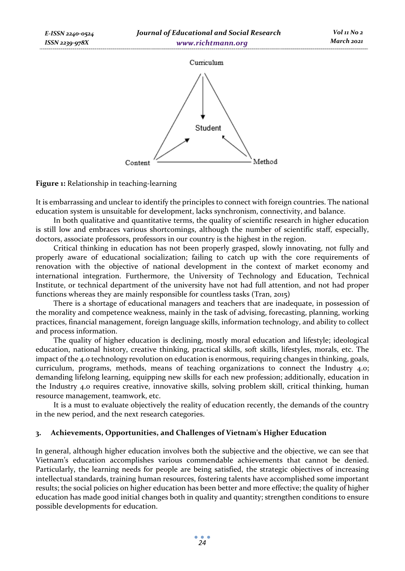

## **Figure 1:** Relationship in teaching-learning

*E-ISSN 2240-0524* 

It is embarrassing and unclear to identify the principles to connect with foreign countries. The national education system is unsuitable for development, lacks synchronism, connectivity, and balance.

In both qualitative and quantitative terms, the quality of scientific research in higher education is still low and embraces various shortcomings, although the number of scientific staff, especially, doctors, associate professors, professors in our country is the highest in the region.

Critical thinking in education has not been properly grasped, slowly innovating, not fully and properly aware of educational socialization; failing to catch up with the core requirements of renovation with the objective of national development in the context of market economy and international integration. Furthermore, the University of Technology and Education, Technical Institute, or technical department of the university have not had full attention, and not had proper functions whereas they are mainly responsible for countless tasks (Tran, 2015)

There is a shortage of educational managers and teachers that are inadequate, in possession of the morality and competence weakness, mainly in the task of advising, forecasting, planning, working practices, financial management, foreign language skills, information technology, and ability to collect and process information.

The quality of higher education is declining, mostly moral education and lifestyle; ideological education, national history, creative thinking, practical skills, soft skills, lifestyles, morals, etc. The impact of the 4.0 technology revolution on education is enormous, requiring changes in thinking, goals, curriculum, programs, methods, means of teaching organizations to connect the Industry 4.0; demanding lifelong learning, equipping new skills for each new profession; additionally, education in the Industry 4.0 requires creative, innovative skills, solving problem skill, critical thinking, human resource management, teamwork, etc.

It is a must to evaluate objectively the reality of education recently, the demands of the country in the new period, and the next research categories.

### **3. Achievements, Opportunities, and Challenges of Vietnam's Higher Education**

In general, although higher education involves both the subjective and the objective, we can see that Vietnam's education accomplishes various commendable achievements that cannot be denied. Particularly, the learning needs for people are being satisfied, the strategic objectives of increasing intellectual standards, training human resources, fostering talents have accomplished some important results; the social policies on higher education has been better and more effective; the quality of higher education has made good initial changes both in quality and quantity; strengthen conditions to ensure possible developments for education.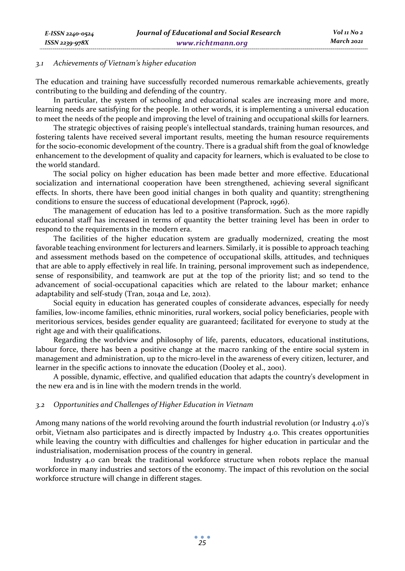#### *3.1 Achievements of Vietnam's higher education*

The education and training have successfully recorded numerous remarkable achievements, greatly contributing to the building and defending of the country.

In particular, the system of schooling and educational scales are increasing more and more, learning needs are satisfying for the people. In other words, it is implementing a universal education to meet the needs of the people and improving the level of training and occupational skills for learners.

The strategic objectives of raising people's intellectual standards, training human resources, and fostering talents have received several important results, meeting the human resource requirements for the socio-economic development of the country. There is a gradual shift from the goal of knowledge enhancement to the development of quality and capacity for learners, which is evaluated to be close to the world standard.

The social policy on higher education has been made better and more effective. Educational socialization and international cooperation have been strengthened, achieving several significant effects. In shorts, there have been good initial changes in both quality and quantity; strengthening conditions to ensure the success of educational development (Paprock, 1996).

The management of education has led to a positive transformation. Such as the more rapidly educational staff has increased in terms of quantity the better training level has been in order to respond to the requirements in the modern era.

The facilities of the higher education system are gradually modernized, creating the most favorable teaching environment for lecturers and learners. Similarly, it is possible to approach teaching and assessment methods based on the competence of occupational skills, attitudes, and techniques that are able to apply effectively in real life. In training, personal improvement such as independence, sense of responsibility, and teamwork are put at the top of the priority list; and so tend to the advancement of social-occupational capacities which are related to the labour market; enhance adaptability and self-study (Tran, 2014a and Le, 2012).

Social equity in education has generated couples of considerate advances, especially for needy families, low-income families, ethnic minorities, rural workers, social policy beneficiaries, people with meritorious services, besides gender equality are guaranteed; facilitated for everyone to study at the right age and with their qualifications.

Regarding the worldview and philosophy of life, parents, educators, educational institutions, labour force, there has been a positive change at the macro ranking of the entire social system in management and administration, up to the micro-level in the awareness of every citizen, lecturer, and learner in the specific actions to innovate the education (Dooley et al., 2001).

A possible, dynamic, effective, and qualified education that adapts the country's development in the new era and is in line with the modern trends in the world.

#### *3.2 Opportunities and Challenges of Higher Education in Vietnam*

Among many nations of the world revolving around the fourth industrial revolution (or Industry 4.0)'s orbit, Vietnam also participates and is directly impacted by Industry 4.0. This creates opportunities while leaving the country with difficulties and challenges for higher education in particular and the industrialisation, modernisation process of the country in general.

Industry 4.0 can break the traditional workforce structure when robots replace the manual workforce in many industries and sectors of the economy. The impact of this revolution on the social workforce structure will change in different stages.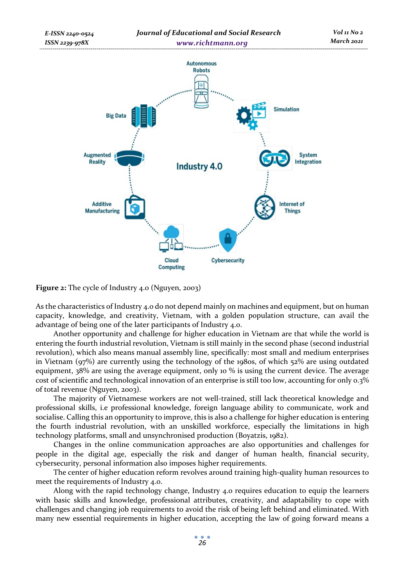

**Figure 2:** The cycle of Industry 4.0 (Nguyen, 2003)

As the characteristics of Industry 4.0 do not depend mainly on machines and equipment, but on human capacity, knowledge, and creativity, Vietnam, with a golden population structure, can avail the advantage of being one of the later participants of Industry 4.0.

Another opportunity and challenge for higher education in Vietnam are that while the world is entering the fourth industrial revolution, Vietnam is still mainly in the second phase (second industrial revolution), which also means manual assembly line, specifically: most small and medium enterprises in Vietnam (97%) are currently using the technology of the 1980s, of which 52% are using outdated equipment, 38% are using the average equipment, only 10 % is using the current device. The average cost of scientific and technological innovation of an enterprise is still too low, accounting for only 0.3% of total revenue (Nguyen, 2003).

The majority of Vietnamese workers are not well-trained, still lack theoretical knowledge and professional skills, i.e professional knowledge, foreign language ability to communicate, work and socialise. Calling this an opportunity to improve, this is also a challenge for higher education is entering the fourth industrial revolution, with an unskilled workforce, especially the limitations in high technology platforms, small and unsynchronised production (Boyatzis, 1982).

Changes in the online communication approaches are also opportunities and challenges for people in the digital age, especially the risk and danger of human health, financial security, cybersecurity, personal information also imposes higher requirements.

The center of higher education reform revolves around training high-quality human resources to meet the requirements of Industry 4.0.

Along with the rapid technology change, Industry 4.0 requires education to equip the learners with basic skills and knowledge, professional attributes, creativity, and adaptability to cope with challenges and changing job requirements to avoid the risk of being left behind and eliminated. With many new essential requirements in higher education, accepting the law of going forward means a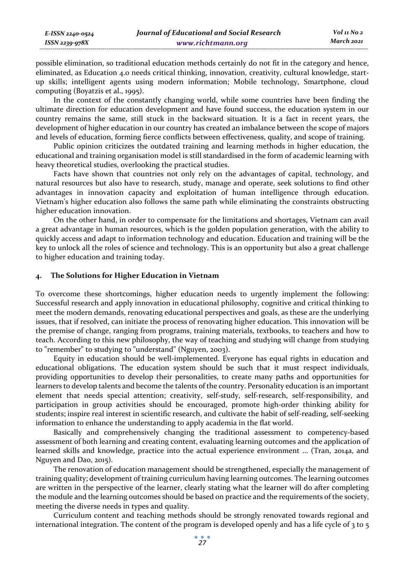possible elimination, so traditional education methods certainly do not fit in the category and hence, eliminated, as Education 4.0 needs critical thinking, innovation, creativity, cultural knowledge, startup skills; intelligent agents using modern information; Mobile technology, Smartphone, cloud computing (Boyatzis et al., 1995).

In the context of the constantly changing world, while some countries have been finding the ultimate direction for education development and have found success, the education system in our country remains the same, still stuck in the backward situation. It is a fact in recent years, the development of higher education in our country has created an imbalance between the scope of majors and levels of education, forming fierce conflicts between effectiveness, quality, and scope of training.

Public opinion criticizes the outdated training and learning methods in higher education, the educational and training organisation model is still standardised in the form of academic learning with heavy theoretical studies, overlooking the practical studies.

Facts have shown that countries not only rely on the advantages of capital, technology, and natural resources but also have to research, study, manage and operate, seek solutions to find other advantages in innovation capacity and exploitation of human intelligence through education. Vietnam's higher education also follows the same path while eliminating the constraints obstructing higher education innovation.

On the other hand, in order to compensate for the limitations and shortages, Vietnam can avail a great advantage in human resources, which is the golden population generation, with the ability to quickly access and adapt to information technology and education. Education and training will be the key to unlock all the roles of science and technology. This is an opportunity but also a great challenge to higher education and training today.

#### **4. The Solutions for Higher Education in Vietnam**

*E-ISSN 2240-0524 ISSN 2239-978X*

To overcome these shortcomings, higher education needs to urgently implement the following: Successful research and apply innovation in educational philosophy, cognitive and critical thinking to meet the modern demands, renovating educational perspectives and goals, as these are the underlying issues, that if resolved, can initiate the process of renovating higher education. This innovation will be the premise of change, ranging from programs, training materials, textbooks, to teachers and how to teach. According to this new philosophy, the way of teaching and studying will change from studying to "remember" to studying to "understand" (Nguyen, 2003).

Equity in education should be well-implemented. Everyone has equal rights in education and educational obligations. The education system should be such that it must respect individuals, providing opportunities to develop their personalities, to create many paths and opportunities for learners to develop talents and become the talents of the country. Personality education is an important element that needs special attention; creativity, self-study, self-research, self-responsibility, and participation in group activities should be encouraged, promote high-order thinking ability for students; inspire real interest in scientific research, and cultivate the habit of self-reading, self-seeking information to enhance the understanding to apply academia in the flat world.

Basically and comprehensively changing the traditional assessment to competency-based assessment of both learning and creating content, evaluating learning outcomes and the application of learned skills and knowledge, practice into the actual experience environment ... (Tran, 2014a, and Nguyen and Dao, 2015).

The renovation of education management should be strengthened, especially the management of training quality; development of training curriculum having learning outcomes. The learning outcomes are written in the perspective of the learner, clearly stating what the learner will do after completing the module and the learning outcomes should be based on practice and the requirements of the society, meeting the diverse needs in types and quality.

Curriculum content and teaching methods should be strongly renovated towards regional and international integration. The content of the program is developed openly and has a life cycle of  $3$  to  $5$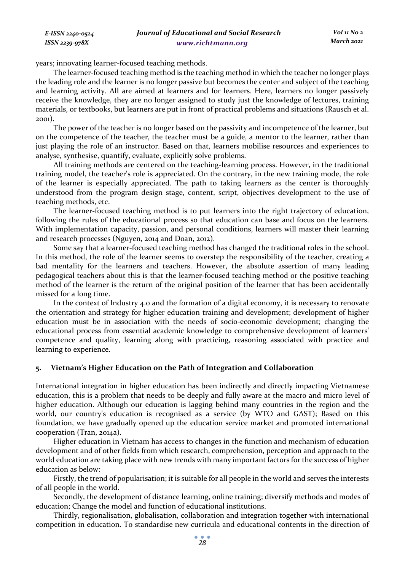years; innovating learner-focused teaching methods.

*E-ISSN 2240-0524 ISSN 2239-978X*

The learner-focused teaching method is the teaching method in which the teacher no longer plays the leading role and the learner is no longer passive but becomes the center and subject of the teaching and learning activity. All are aimed at learners and for learners. Here, learners no longer passively receive the knowledge, they are no longer assigned to study just the knowledge of lectures, training materials, or textbooks, but learners are put in front of practical problems and situations (Rausch et al. 2001).

The power of the teacher is no longer based on the passivity and incompetence of the learner, but on the competence of the teacher, the teacher must be a guide, a mentor to the learner, rather than just playing the role of an instructor. Based on that, learners mobilise resources and experiences to analyse, synthesise, quantify, evaluate, explicitly solve problems.

All training methods are centered on the teaching-learning process. However, in the traditional training model, the teacher's role is appreciated. On the contrary, in the new training mode, the role of the learner is especially appreciated. The path to taking learners as the center is thoroughly understood from the program design stage, content, script, objectives development to the use of teaching methods, etc.

The learner-focused teaching method is to put learners into the right trajectory of education, following the rules of the educational process so that education can base and focus on the learners. With implementation capacity, passion, and personal conditions, learners will master their learning and research processes (Nguyen, 2014 and Doan, 2012).

Some say that a learner-focused teaching method has changed the traditional roles in the school. In this method, the role of the learner seems to overstep the responsibility of the teacher, creating a bad mentality for the learners and teachers. However, the absolute assertion of many leading pedagogical teachers about this is that the learner-focused teaching method or the positive teaching method of the learner is the return of the original position of the learner that has been accidentally missed for a long time.

In the context of Industry 4.0 and the formation of a digital economy, it is necessary to renovate the orientation and strategy for higher education training and development; development of higher education must be in association with the needs of socio-economic development; changing the educational process from essential academic knowledge to comprehensive development of learners' competence and quality, learning along with practicing, reasoning associated with practice and learning to experience.

## **5. Vietnam's Higher Education on the Path of Integration and Collaboration**

International integration in higher education has been indirectly and directly impacting Vietnamese education, this is a problem that needs to be deeply and fully aware at the macro and micro level of higher education. Although our education is lagging behind many countries in the region and the world, our country's education is recognised as a service (by WTO and GAST); Based on this foundation, we have gradually opened up the education service market and promoted international cooperation (Tran, 2014a).

Higher education in Vietnam has access to changes in the function and mechanism of education development and of other fields from which research, comprehension, perception and approach to the world education are taking place with new trends with many important factors for the success of higher education as below:

Firstly, the trend of popularisation; it is suitable for all people in the world and serves the interests of all people in the world.

Secondly, the development of distance learning, online training; diversify methods and modes of education; Change the model and function of educational institutions.

Thirdly, regionalisation, globalisation, collaboration and integration together with international competition in education. To standardise new curricula and educational contents in the direction of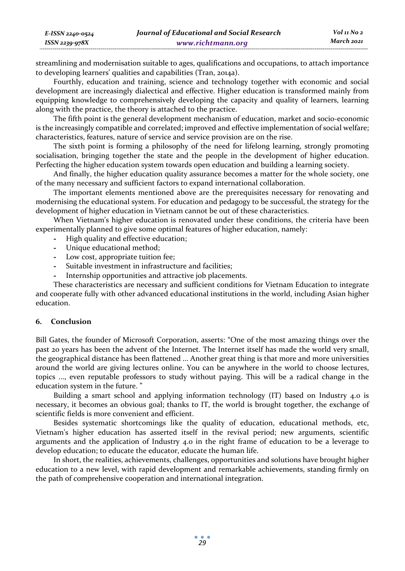streamlining and modernisation suitable to ages, qualifications and occupations, to attach importance to developing learners' qualities and capabilities (Tran, 2014a).

Fourthly, education and training, science and technology together with economic and social development are increasingly dialectical and effective. Higher education is transformed mainly from equipping knowledge to comprehensively developing the capacity and quality of learners, learning along with the practice, the theory is attached to the practice.

The fifth point is the general development mechanism of education, market and socio-economic is the increasingly compatible and correlated; improved and effective implementation of social welfare; characteristics, features, nature of service and service provision are on the rise.

The sixth point is forming a philosophy of the need for lifelong learning, strongly promoting socialisation, bringing together the state and the people in the development of higher education. Perfecting the higher education system towards open education and building a learning society.

And finally, the higher education quality assurance becomes a matter for the whole society, one of the many necessary and sufficient factors to expand international collaboration.

The important elements mentioned above are the prerequisites necessary for renovating and modernising the educational system. For education and pedagogy to be successful, the strategy for the development of higher education in Vietnam cannot be out of these characteristics.

When Vietnam's higher education is renovated under these conditions, the criteria have been experimentally planned to give some optimal features of higher education, namely:

- **-** High quality and effective education;
- **-** Unique educational method;
- **-** Low cost, appropriate tuition fee;
- **-** Suitable investment in infrastructure and facilities;
- **-** Internship opportunities and attractive job placements.

These characteristics are necessary and sufficient conditions for Vietnam Education to integrate and cooperate fully with other advanced educational institutions in the world, including Asian higher education.

#### **6. Conclusion**

Bill Gates, the founder of Microsoft Corporation, asserts: "One of the most amazing things over the past 20 years has been the advent of the Internet. The Internet itself has made the world very small, the geographical distance has been flattened ... Another great thing is that more and more universities around the world are giving lectures online. You can be anywhere in the world to choose lectures, topics ..., even reputable professors to study without paying. This will be a radical change in the education system in the future. "

Building a smart school and applying information technology (IT) based on Industry 4.0 is necessary, it becomes an obvious goal; thanks to IT, the world is brought together, the exchange of scientific fields is more convenient and efficient.

Besides systematic shortcomings like the quality of education, educational methods, etc, Vietnam's higher education has asserted itself in the revival period; new arguments, scientific arguments and the application of Industry 4.0 in the right frame of education to be a leverage to develop education; to educate the educator, educate the human life.

In short, the realities, achievements, challenges, opportunities and solutions have brought higher education to a new level, with rapid development and remarkable achievements, standing firmly on the path of comprehensive cooperation and international integration.